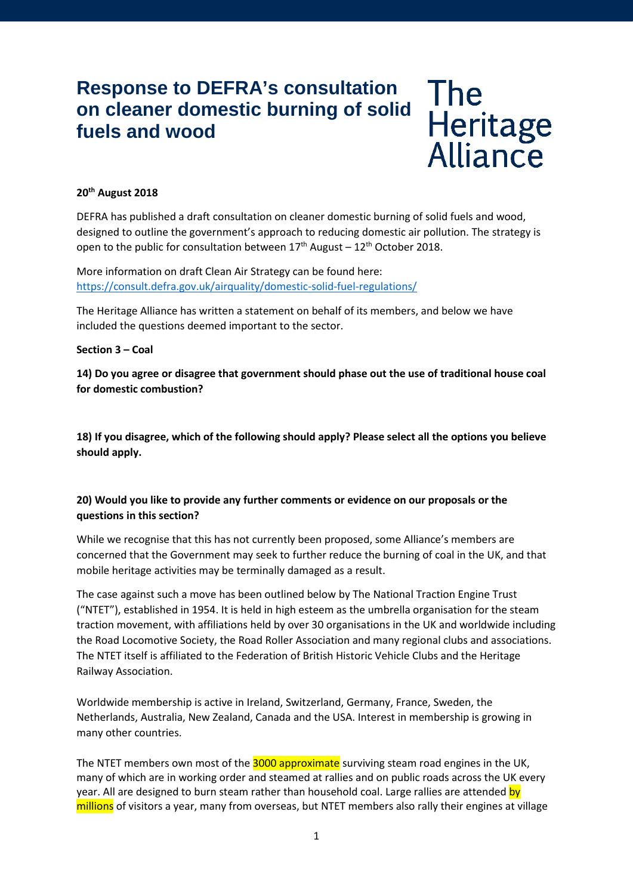# **Response to DEFRA's consultation on cleaner domestic burning of solid fuels and wood**

The<br>Heritage<br>Alliance

## **20th August 2018**

DEFRA has published a draft consultation on cleaner domestic burning of solid fuels and wood, designed to outline the government's approach to reducing domestic air pollution. The strategy is open to the public for consultation between  $17<sup>th</sup>$  August –  $12<sup>th</sup>$  October 2018.

More information on draft Clean Air Strategy can be found here: <https://consult.defra.gov.uk/airquality/domestic-solid-fuel-regulations/>

The Heritage Alliance has written a statement on behalf of its members, and below we have included the questions deemed important to the sector.

### **Section 3 – Coal**

**14) Do you agree or disagree that government should phase out the use of traditional house coal for domestic combustion?**

**18) If you disagree, which of the following should apply? Please select all the options you believe should apply.** 

# **20) Would you like to provide any further comments or evidence on our proposals or the questions in this section?**

While we recognise that this has not currently been proposed, some Alliance's members are concerned that the Government may seek to further reduce the burning of coal in the UK, and that mobile heritage activities may be terminally damaged as a result.

The case against such a move has been outlined below by The National Traction Engine Trust ("NTET"), established in 1954. It is held in high esteem as the umbrella organisation for the steam traction movement, with affiliations held by over 30 organisations in the UK and worldwide including the Road Locomotive Society, the Road Roller Association and many regional clubs and associations. The NTET itself is affiliated to the Federation of British Historic Vehicle Clubs and the Heritage Railway Association.

Worldwide membership is active in Ireland, Switzerland, Germany, France, Sweden, the Netherlands, Australia, New Zealand, Canada and the USA. Interest in membership is growing in many other countries.

The NTET members own most of the 3000 approximate surviving steam road engines in the UK. many of which are in working order and steamed at rallies and on public roads across the UK every year. All are designed to burn steam rather than household coal. Large rallies are attended by millions of visitors a year, many from overseas, but NTET members also rally their engines at village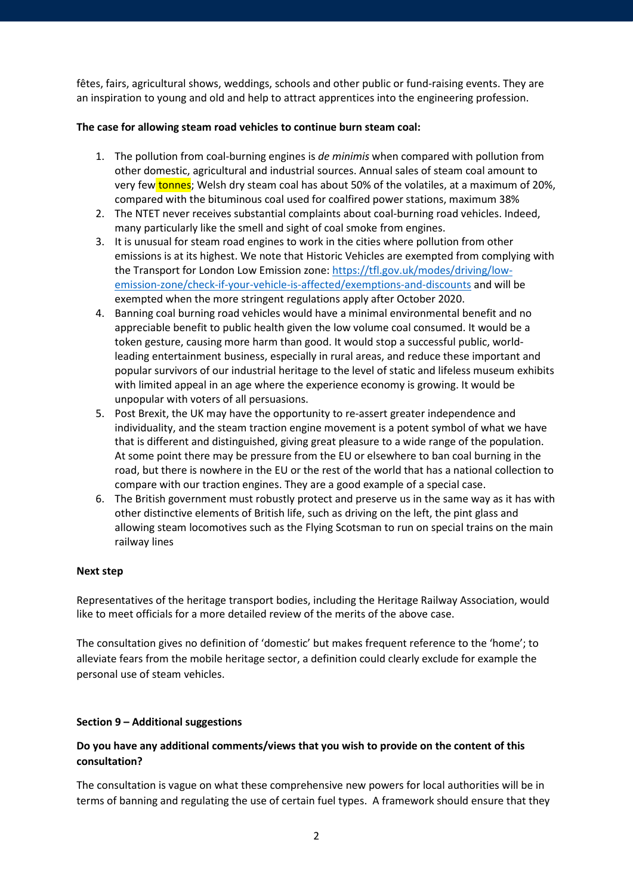fêtes, fairs, agricultural shows, weddings, schools and other public or fund-raising events. They are an inspiration to young and old and help to attract apprentices into the engineering profession.

## **The case for allowing steam road vehicles to continue burn steam coal:**

- 1. The pollution from coal-burning engines is *de minimis* when compared with pollution from other domestic, agricultural and industrial sources. Annual sales of steam coal amount to very few tonnes; Welsh dry steam coal has about 50% of the volatiles, at a maximum of 20%, compared with the bituminous coal used for coalfired power stations, maximum 38%
- 2. The NTET never receives substantial complaints about coal-burning road vehicles. Indeed, many particularly like the smell and sight of coal smoke from engines.
- 3. It is unusual for steam road engines to work in the cities where pollution from other emissions is at its highest. We note that Historic Vehicles are exempted from complying with the Transport for London Low Emission zone[: https://tfl.gov.uk/modes/driving/low](https://tfl.gov.uk/modes/driving/low-emission-zone/check-if-your-vehicle-is-affected/exemptions-and-discounts)[emission-zone/check-if-your-vehicle-is-affected/exemptions-and-discounts](https://tfl.gov.uk/modes/driving/low-emission-zone/check-if-your-vehicle-is-affected/exemptions-and-discounts) and will be exempted when the more stringent regulations apply after October 2020.
- 4. Banning coal burning road vehicles would have a minimal environmental benefit and no appreciable benefit to public health given the low volume coal consumed. It would be a token gesture, causing more harm than good. It would stop a successful public, worldleading entertainment business, especially in rural areas, and reduce these important and popular survivors of our industrial heritage to the level of static and lifeless museum exhibits with limited appeal in an age where the experience economy is growing. It would be unpopular with voters of all persuasions.
- 5. Post Brexit, the UK may have the opportunity to re-assert greater independence and individuality, and the steam traction engine movement is a potent symbol of what we have that is different and distinguished, giving great pleasure to a wide range of the population. At some point there may be pressure from the EU or elsewhere to ban coal burning in the road, but there is nowhere in the EU or the rest of the world that has a national collection to compare with our traction engines. They are a good example of a special case.
- 6. The British government must robustly protect and preserve us in the same way as it has with other distinctive elements of British life, such as driving on the left, the pint glass and allowing steam locomotives such as the Flying Scotsman to run on special trains on the main railway lines

### **Next step**

Representatives of the heritage transport bodies, including the Heritage Railway Association, would like to meet officials for a more detailed review of the merits of the above case.

The consultation gives no definition of 'domestic' but makes frequent reference to the 'home'; to alleviate fears from the mobile heritage sector, a definition could clearly exclude for example the personal use of steam vehicles.

### **Section 9 – Additional suggestions**

# **Do you have any additional comments/views that you wish to provide on the content of this consultation?**

The consultation is vague on what these comprehensive new powers for local authorities will be in terms of banning and regulating the use of certain fuel types. A framework should ensure that they